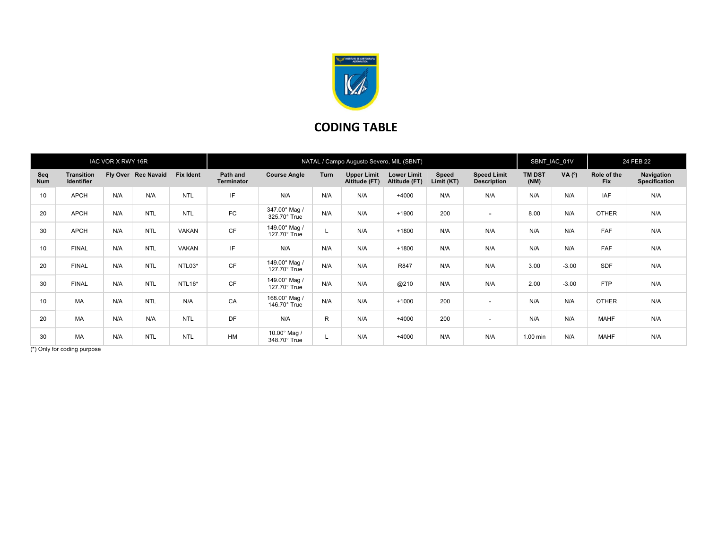

## CODING TABLE

| IAC VOR X RWY 16R |                                 |     |                     |                  | NATAL / Campo Augusto Severo, MIL (SBNT) |                                     |              |                                     |                                     |                     |                                          |                       | SBNT_IAC_01V   |                           | 24 FEB 22                   |  |
|-------------------|---------------------------------|-----|---------------------|------------------|------------------------------------------|-------------------------------------|--------------|-------------------------------------|-------------------------------------|---------------------|------------------------------------------|-----------------------|----------------|---------------------------|-----------------------------|--|
| Seq<br><b>Num</b> | <b>Transition</b><br>Identifier |     | Fly Over Rec Navaid | <b>Fix Ident</b> | Path and<br><b>Terminator</b>            | <b>Course Angle</b>                 | Turn         | <b>Upper Limit</b><br>Altitude (FT) | <b>Lower Limit</b><br>Altitude (FT) | Speed<br>Limit (KT) | <b>Speed Limit</b><br><b>Description</b> | <b>TM DST</b><br>(NM) | $VA(^{\circ})$ | Role of the<br><b>Fix</b> | Navigation<br>Specification |  |
| 10                | APCH                            | N/A | N/A                 | <b>NTL</b>       | IF                                       | N/A                                 | N/A          | N/A                                 | $+4000$                             | N/A                 | N/A                                      | N/A                   | N/A            | IAF                       | N/A                         |  |
| 20                | APCH                            | N/A | <b>NTL</b>          | <b>NTL</b>       | FC                                       | 347.00° Mag /<br>325.70° True       | N/A          | N/A                                 | $+1900$                             | 200                 | $\overline{\phantom{a}}$                 | 8.00                  | N/A            | <b>OTHER</b>              | N/A                         |  |
| 30                | APCH                            | N/A | <b>NTL</b>          | <b>VAKAN</b>     | <b>CF</b>                                | 149.00° Mag /<br>127.70° True       |              | N/A                                 | $+1800$                             | N/A                 | N/A                                      | N/A                   | N/A            | <b>FAF</b>                | N/A                         |  |
| 10                | <b>FINAL</b>                    | N/A | <b>NTL</b>          | VAKAN            | IF                                       | N/A                                 | N/A          | N/A                                 | $+1800$                             | N/A                 | N/A                                      | N/A                   | N/A            | <b>FAF</b>                | N/A                         |  |
| 20                | <b>FINAL</b>                    | N/A | <b>NTL</b>          | NTL03*           | <b>CF</b>                                | 149.00° Mag /<br>127.70° True       | N/A          | N/A                                 | R847                                | N/A                 | N/A                                      | 3.00                  | $-3.00$        | SDF                       | N/A                         |  |
| 30                | <b>FINAL</b>                    | N/A | <b>NTL</b>          | NTL16*           | <b>CF</b>                                | 149.00° Mag /<br>127.70° True       | N/A          | N/A                                 | @210                                | N/A                 | N/A                                      | 2.00                  | $-3.00$        | <b>FTP</b>                | N/A                         |  |
| 10                | <b>MA</b>                       | N/A | <b>NTL</b>          | N/A              | CA                                       | 168.00° Mag /<br>146.70° True       | N/A          | N/A                                 | $+1000$                             | 200                 | $\sim$                                   | N/A                   | N/A            | <b>OTHER</b>              | N/A                         |  |
| 20                | <b>MA</b>                       | N/A | N/A                 | <b>NTL</b>       | DF                                       | N/A                                 | $\mathsf{R}$ | N/A                                 | $+4000$                             | 200                 | $\overline{\phantom{a}}$                 | N/A                   | N/A            | <b>MAHF</b>               | N/A                         |  |
| 30                | <b>MA</b>                       | N/A | <b>NTL</b>          | <b>NTL</b>       | <b>HM</b>                                | $10.00^\circ$ Mag /<br>348.70° True |              | N/A                                 | $+4000$                             | N/A                 | N/A                                      | 1.00 min              | N/A            | <b>MAHF</b>               | N/A                         |  |

(\*) Only for coding purpose